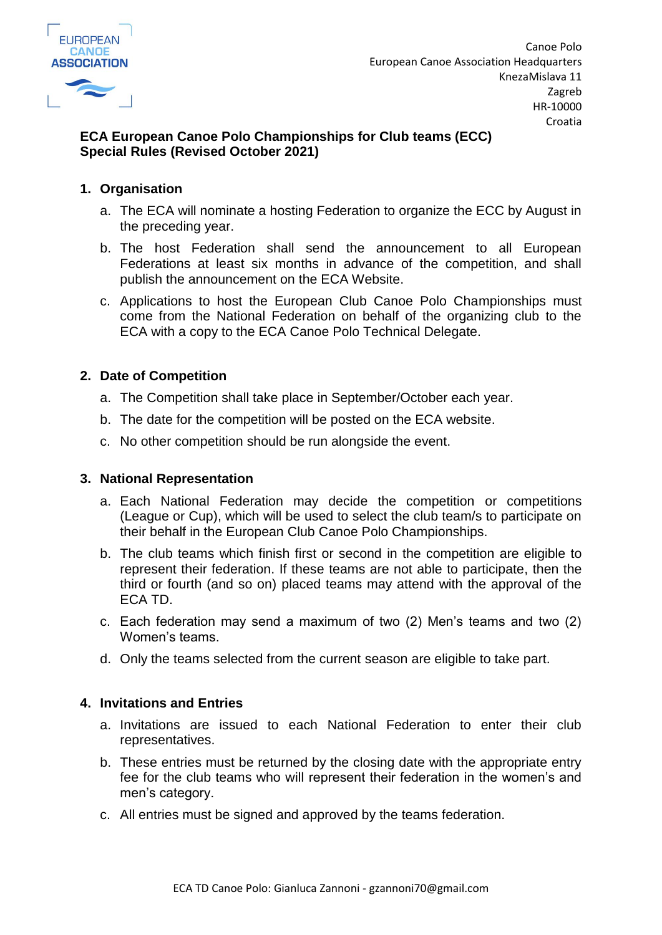

# **ECA European Canoe Polo Championships for Club teams (ECC) Special Rules (Revised October 2021)**

## **1. Organisation**

- a. The ECA will nominate a hosting Federation to organize the ECC by August in the preceding year.
- b. The host Federation shall send the announcement to all European Federations at least six months in advance of the competition, and shall publish the announcement on the ECA Website.
- c. Applications to host the European Club Canoe Polo Championships must come from the National Federation on behalf of the organizing club to the ECA with a copy to the ECA Canoe Polo Technical Delegate.

### **2. Date of Competition**

- a. The Competition shall take place in September/October each year.
- b. The date for the competition will be posted on the ECA website.
- c. No other competition should be run alongside the event.

### **3. National Representation**

- a. Each National Federation may decide the competition or competitions (League or Cup), which will be used to select the club team/s to participate on their behalf in the European Club Canoe Polo Championships.
- b. The club teams which finish first or second in the competition are eligible to represent their federation. If these teams are not able to participate, then the third or fourth (and so on) placed teams may attend with the approval of the ECA TD.
- c. Each federation may send a maximum of two (2) Men's teams and two (2) Women's teams.
- d. Only the teams selected from the current season are eligible to take part.

### **4. Invitations and Entries**

- a. Invitations are issued to each National Federation to enter their club representatives.
- b. These entries must be returned by the closing date with the appropriate entry fee for the club teams who will represent their federation in the women's and men's category.
- c. All entries must be signed and approved by the teams federation.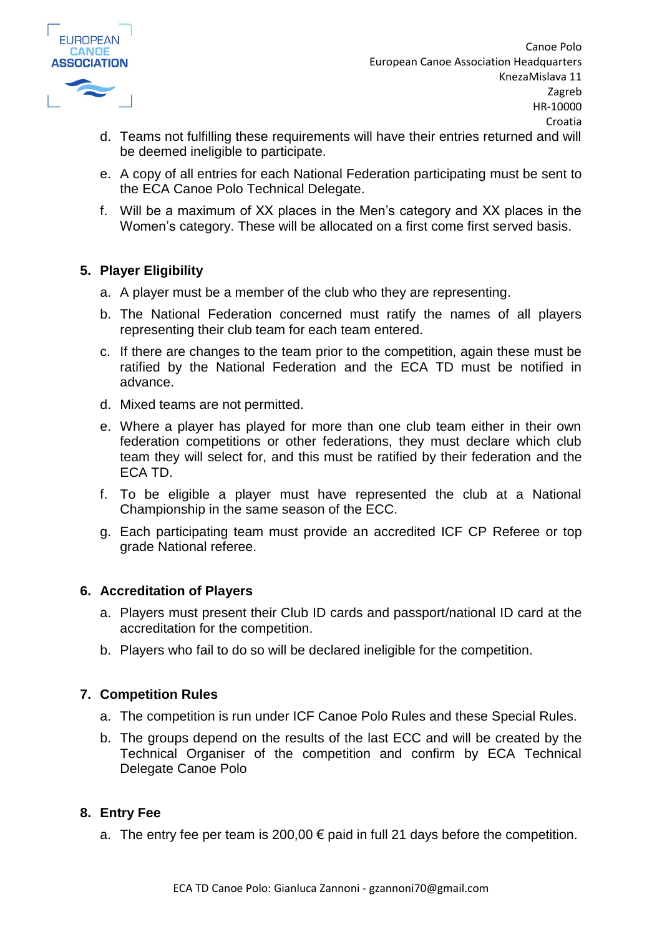

Canoe Polo European Canoe Association Headquarters KnezaMislava 11 Zagreb HR-10000 Croatia

- d. Teams not fulfilling these requirements will have their entries returned and will be deemed ineligible to participate.
- e. A copy of all entries for each National Federation participating must be sent to the ECA Canoe Polo Technical Delegate.
- f. Will be a maximum of XX places in the Men's category and XX places in the Women's category. These will be allocated on a first come first served basis.

### **5. Player Eligibility**

- a. A player must be a member of the club who they are representing.
- b. The National Federation concerned must ratify the names of all players representing their club team for each team entered.
- c. If there are changes to the team prior to the competition, again these must be ratified by the National Federation and the ECA TD must be notified in advance.
- d. Mixed teams are not permitted.
- e. Where a player has played for more than one club team either in their own federation competitions or other federations, they must declare which club team they will select for, and this must be ratified by their federation and the ECA TD.
- f. To be eligible a player must have represented the club at a National Championship in the same season of the ECC.
- g. Each participating team must provide an accredited ICF CP Referee or top grade National referee.

### **6. Accreditation of Players**

- a. Players must present their Club ID cards and passport/national ID card at the accreditation for the competition.
- b. Players who fail to do so will be declared ineligible for the competition.

### **7. Competition Rules**

- a. The competition is run under ICF Canoe Polo Rules and these Special Rules.
- b. The groups depend on the results of the last ECC and will be created by the Technical Organiser of the competition and confirm by ECA Technical Delegate Canoe Polo

### **8. Entry Fee**

a. The entry fee per team is 200,00  $\epsilon$  paid in full 21 days before the competition.